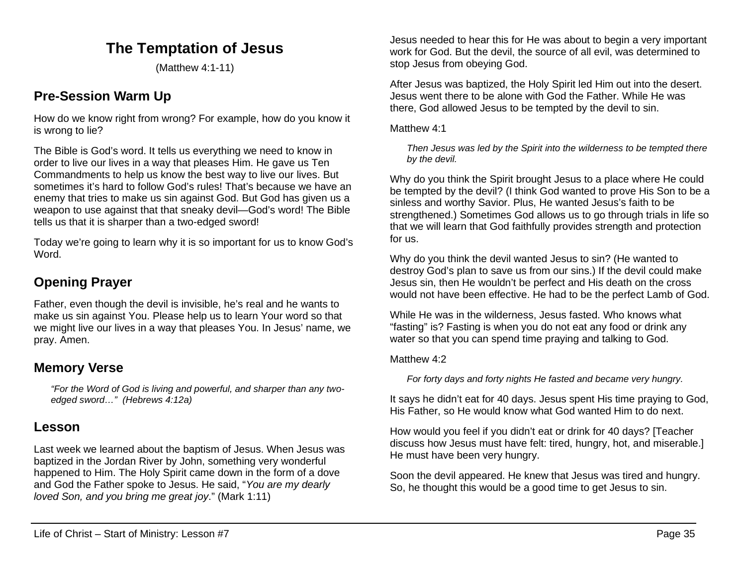# **The Temptation of Jesus**

(Matthew 4:1-11)

## **Pre-Session Warm Up**

How do we know right from wrong? For example, how do you know it is wrong to lie?

The Bible is God's word. It tells us everything we need to know in order to live our lives in a way that pleases Him. He gave us Ten Commandments to help us know the best way to live our lives. But sometimes it's hard to follow God's rules! That's because we have an enemy that tries to make us sin against God. But God has given us a weapon to use against that that sneaky devil—God's word! The Bible tells us that it is sharper than a two-edged sword!

Today we're going to learn why it is so important for us to know God's Word.

## **Opening Prayer**

Father, even though the devil is invisible, he's real and he wants to make us sin against You. Please help us to learn Your word so that we might live our lives in a way that pleases You. In Jesus' name, we pray. Amen.

## **Memory Verse**

*"For the Word of God is living and powerful, and sharper than any twoedged sword…" (Hebrews 4:12a)*

## **Lesson**

Last week we learned about the baptism of Jesus. When Jesus was baptized in the Jordan River by John, something very wonderful happened to Him. The Holy Spirit came down in the form of a dove and God the Father spoke to Jesus. He said, "*You are my dearly loved Son, and you bring me great joy*." (Mark 1:11)

Jesus needed to hear this for He was about to begin a very important work for God. But the devil, the source of all evil, was determined to stop Jesus from obeying God.

After Jesus was baptized, the Holy Spirit led Him out into the desert. Jesus went there to be alone with God the Father. While He was there, God allowed Jesus to be tempted by the devil to sin.

#### Matthew 4:1

*Then Jesus was led by the Spirit into the wilderness to be tempted there by the devil.*

Why do you think the Spirit brought Jesus to a place where He could be tempted by the devil? (I think God wanted to prove His Son to be a sinless and worthy Savior. Plus, He wanted Jesus's faith to be strengthened.) Sometimes God allows us to go through trials in life so that we will learn that God faithfully provides strength and protection for us.

Why do you think the devil wanted Jesus to sin? (He wanted to destroy God's plan to save us from our sins.) If the devil could make Jesus sin, then He wouldn't be perfect and His death on the cross would not have been effective. He had to be the perfect Lamb of God.

While He was in the wilderness, Jesus fasted. Who knows what "fasting" is? Fasting is when you do not eat any food or drink any water so that you can spend time praying and talking to God.

### Matthew 4:2

*For forty days and forty nights He fasted and became very hungry.* 

It says he didn't eat for 40 days. Jesus spent His time praying to God, His Father, so He would know what God wanted Him to do next.

How would you feel if you didn't eat or drink for 40 days? [Teacher discuss how Jesus must have felt: tired, hungry, hot, and miserable.] He must have been very hungry.

Soon the devil appeared. He knew that Jesus was tired and hungry. So, he thought this would be a good time to get Jesus to sin.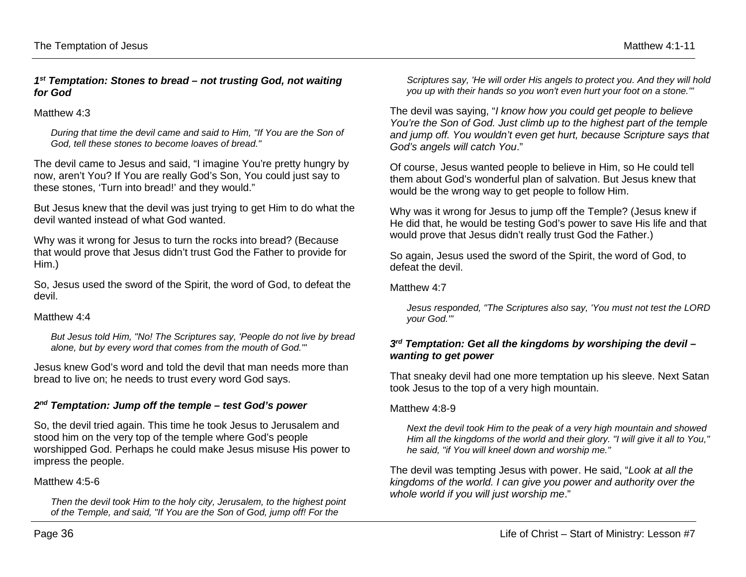#### *1st Temptation: Stones to bread – not trusting God, not waiting for God*

#### Matthew 4:3

*During that time the devil came and said to Him, "If You are the Son of God, tell these stones to become loaves of bread."*

The devil came to Jesus and said, "I imagine You're pretty hungry by now, aren't You? If You are really God's Son, You could just say to these stones, 'Turn into bread!' and they would."

But Jesus knew that the devil was just trying to get Him to do what the devil wanted instead of what God wanted.

Why was it wrong for Jesus to turn the rocks into bread? (Because that would prove that Jesus didn't trust God the Father to provide for Him.)

So, Jesus used the sword of the Spirit, the word of God, to defeat the devil.

#### Matthew 4.4

*But Jesus told Him, "No! The Scriptures say, 'People do not live by bread alone, but by every word that comes from the mouth of God.'"* 

Jesus knew God's word and told the devil that man needs more than bread to live on; he needs to trust every word God says.

### *2nd Temptation: Jump off the temple – test God's power*

So, the devil tried again. This time he took Jesus to Jerusalem and stood him on the very top of the temple where God's people worshipped God. Perhaps he could make Jesus misuse His power to impress the people.

### Matthew 4:5-6

*Then the devil took Him to the holy city, Jerusalem, to the highest point of the Temple, and said, "If You are the Son of God, jump off! For the* 

*Scriptures say, 'He will order His angels to protect you. And they will hold you up with their hands so you won't even hurt your foot on a stone.'"* 

The devil was saying, "*I know how you could get people to believe You're the Son of God. Just climb up to the highest part of the temple and jump off. You wouldn't even get hurt, because Scripture says that God's angels will catch You*."

Of course, Jesus wanted people to believe in Him, so He could tell them about God's wonderful plan of salvation. But Jesus knew that would be the wrong way to get people to follow Him.

Why was it wrong for Jesus to jump off the Temple? (Jesus knew if He did that, he would be testing God's power to save His life and that would prove that Jesus didn't really trust God the Father.)

So again, Jesus used the sword of the Spirit, the word of God, to defeat the devil.

#### Matthew 4.7

*Jesus responded, "The Scriptures also say, 'You must not test the LORD your God.'"*

### *3rd Temptation: Get all the kingdoms by worshiping the devil – wanting to get power*

That sneaky devil had one more temptation up his sleeve. Next Satan took Jesus to the top of a very high mountain.

### Matthew 4:8-9

*Next the devil took Him to the peak of a very high mountain and showed Him all the kingdoms of the world and their glory. "I will give it all to You," he said, "if You will kneel down and worship me."*

The devil was tempting Jesus with power. He said, "*Look at all the kingdoms of the world. I can give you power and authority over the whole world if you will just worship me*."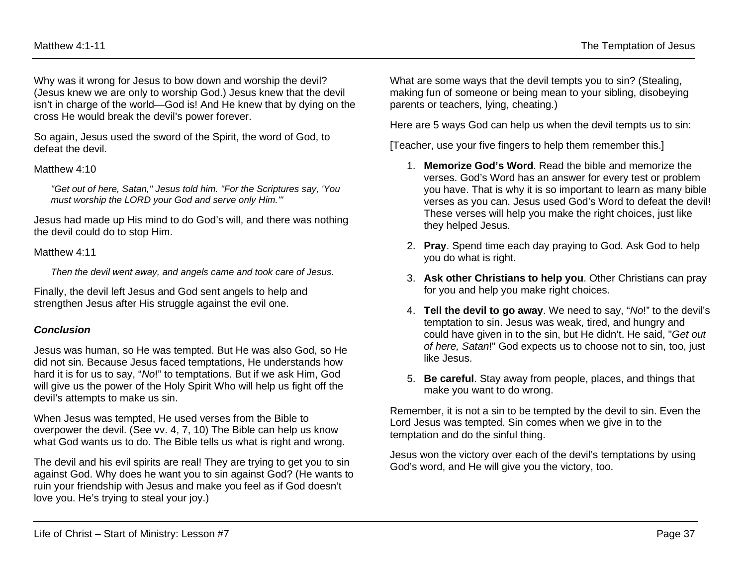Why was it wrong for Jesus to bow down and worship the devil? (Jesus knew we are only to worship God.) Jesus knew that the devil isn't in charge of the world—God is! And He knew that by dying on the cross He would break the devil's power forever.

So again, Jesus used the sword of the Spirit, the word of God, to defeat the devil.

#### Matthew 4:10

*"Get out of here, Satan," Jesus told him. "For the Scriptures say, 'You must worship the LORD your God and serve only Him.'"*

Jesus had made up His mind to do God's will, and there was nothing the devil could do to stop Him.

#### Matthew 4:11

*Then the devil went away, and angels came and took care of Jesus.*

Finally, the devil left Jesus and God sent angels to help and strengthen Jesus after His struggle against the evil one.

### *Conclusion*

Jesus was human, so He was tempted. But He was also God, so He did not sin. Because Jesus faced temptations, He understands how hard it is for us to say, "*No*!" to temptations. But if we ask Him, God will give us the power of the Holy Spirit Who will help us fight off the devil's attempts to make us sin.

When Jesus was tempted, He used verses from the Bible to overpower the devil. (See vv. 4, 7, 10) The Bible can help us know what God wants us to do. The Bible tells us what is right and wrong.

The devil and his evil spirits are real! They are trying to get you to sin against God. Why does he want you to sin against God? (He wants to ruin your friendship with Jesus and make you feel as if God doesn't love you. He's trying to steal your joy.)

What are some ways that the devil tempts you to sin? (Stealing, making fun of someone or being mean to your sibling, disobeying parents or teachers, lying, cheating.)

Here are 5 ways God can help us when the devil tempts us to sin:

[Teacher, use your five fingers to help them remember this.]

- 1. **Memorize God's Word**. Read the bible and memorize the verses. God's Word has an answer for every test or problem you have. That is why it is so important to learn as many bible verses as you can. Jesus used God's Word to defeat the devil! These verses will help you make the right choices, just like they helped Jesus.
- 2. **Pray**. Spend time each day praying to God. Ask God to help you do what is right.
- 3. **Ask other Christians to help you**. Other Christians can pray for you and help you make right choices.
- 4. **Tell the devil to go away**. We need to say, "*No*!" to the devil's temptation to sin. Jesus was weak, tired, and hungry and could have given in to the sin, but He didn't. He said, "*Get out of here, Satan*!" God expects us to choose not to sin, too, just like Jesus.
- 5. **Be careful**. Stay away from people, places, and things that make you want to do wrong.

Remember, it is not a sin to be tempted by the devil to sin. Even the Lord Jesus was tempted. Sin comes when we give in to the temptation and do the sinful thing.

Jesus won the victory over each of the devil's temptations by using God's word, and He will give you the victory, too.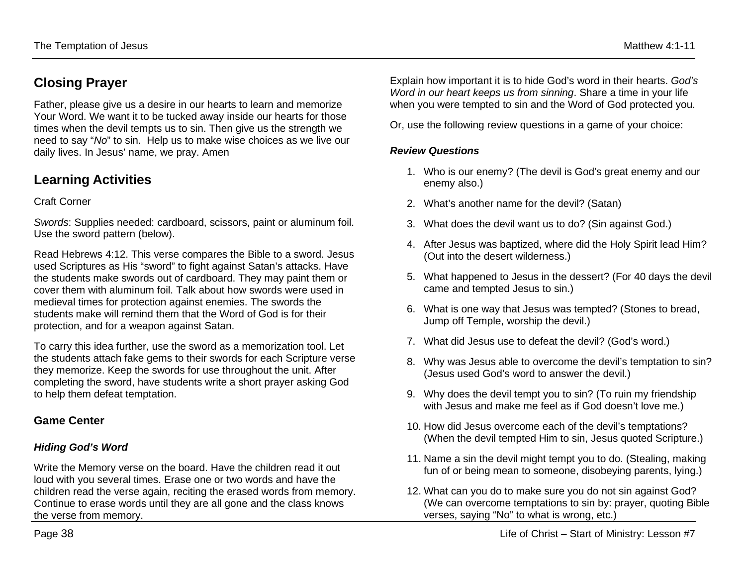# **Closing Prayer**

Father, please give us a desire in our hearts to learn and memorize Your Word. We want it to be tucked away inside our hearts for those times when the devil tempts us to sin. Then give us the strength we need to say "*No*" to sin. Help us to make wise choices as we live our daily lives. In Jesus' name, we pray. Amen

## **Learning Activities**

### Craft Corner

*Swords*: Supplies needed: cardboard, scissors, paint or aluminum foil. Use the sword pattern (below).

Read Hebrews 4:12. This verse compares the Bible to a sword. Jesus used Scriptures as His "sword" to fight against Satan's attacks. Have the students make swords out of cardboard. They may paint them or cover them with aluminum foil. Talk about how swords were used in medieval times for protection against enemies. The swords the students make will remind them that the Word of God is for their protection, and for a weapon against Satan.

To carry this idea further, use the sword as a memorization tool. Let the students attach fake gems to their swords for each Scripture verse they memorize. Keep the swords for use throughout the unit. After completing the sword, have students write a short prayer asking God to help them defeat temptation.

## **Game Center**

### *Hiding God's Word*

Write the Memory verse on the board. Have the children read it out loud with you several times. Erase one or two words and have the children read the verse again, reciting the erased words from memory. Continue to erase words until they are all gone and the class knows the verse from memory.

Explain how important it is to hide God's word in their hearts. *God's Word in our heart keeps us from sinning*. Share a time in your life when you were tempted to sin and the Word of God protected you.

Or, use the following review questions in a game of your choice:

### *Review Questions*

- 1. Who is our enemy? (The devil is God's great enemy and our enemy also.)
- 2. What's another name for the devil? (Satan)
- 3. What does the devil want us to do? (Sin against God.)
- 4. After Jesus was baptized, where did the Holy Spirit lead Him? (Out into the desert wilderness.)
- 5. What happened to Jesus in the dessert? (For 40 days the devil came and tempted Jesus to sin.)
- 6. What is one way that Jesus was tempted? (Stones to bread, Jump off Temple, worship the devil.)
- 7. What did Jesus use to defeat the devil? (God's word.)
- 8. Why was Jesus able to overcome the devil's temptation to sin? (Jesus used God's word to answer the devil.)
- 9. Why does the devil tempt you to sin? (To ruin my friendship with Jesus and make me feel as if God doesn't love me.)
- 10. How did Jesus overcome each of the devil's temptations? (When the devil tempted Him to sin, Jesus quoted Scripture.)
- 11. Name a sin the devil might tempt you to do. (Stealing, making fun of or being mean to someone, disobeying parents, lying.)
- 12. What can you do to make sure you do not sin against God? (We can overcome temptations to sin by: prayer, quoting Bible verses, saying "No" to what is wrong, etc.)